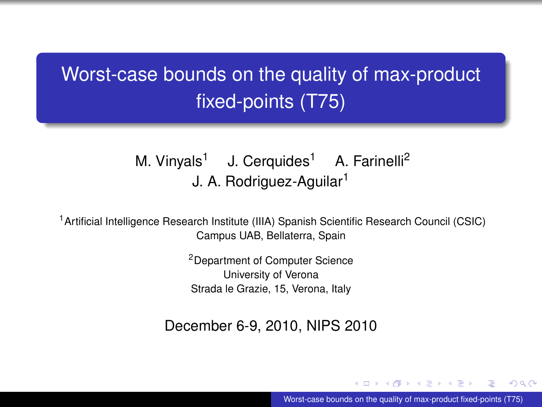# Worst-case bounds on the quality of max-product fixed-points (T75)

#### M. Vinyals<sup>1</sup> J. Cerquides<sup>1</sup> A. Farinelli<sup>2</sup> J. A. Rodriguez-Aguilar<sup>1</sup>

<sup>1</sup> Artificial Intelligence Research Institute (IIIA) Spanish Scientific Research Council (CSIC) Campus UAB, Bellaterra, Spain

> <sup>2</sup>Department of Computer Science University of Verona Strada le Grazie, 15, Verona, Italy

December 6-9, 2010, NIPS 2010

4 ロ ト ィ 何 ト ィ ヨ ト ィ ヨ Worst-case bounds on the quality of max-product fixed-points (T75)

 $\Omega$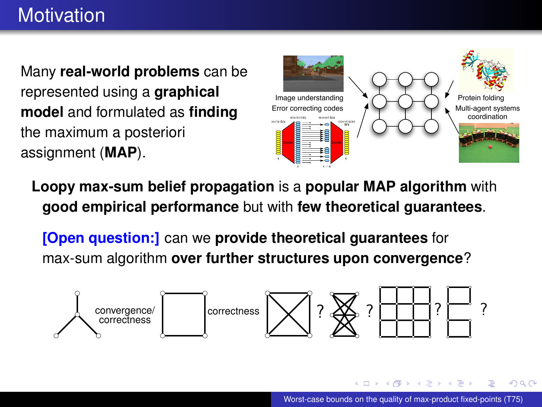## **Motivation**

Many **real-world problems** can be represented using a **graphical model** and formulated as **finding** the maximum a posteriori assignment (**MAP**).



**Loopy max-sum belief propagation** is a **popular MAP algorithm** with **good empirical performance** but with **few theoretical guarantees**.

**[Open question:]** can we **provide theoretical guarantees** for max-sum algorithm **over further structures upon convergence**?



 $\Omega$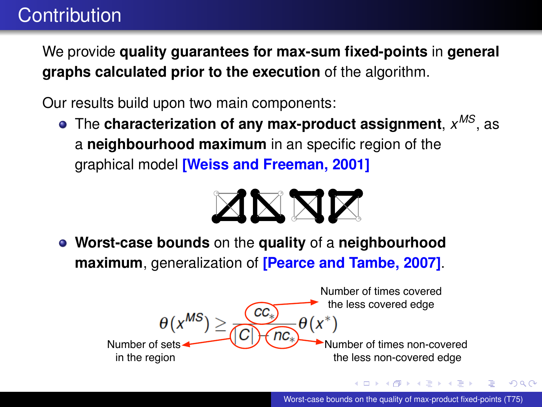## **Contribution**

We provide **quality guarantees for max-sum fixed-points** in **general graphs calculated prior to the execution** of the algorithm.

Our results build upon two main components:

The **characterization of any max-product assignment**, *x MS*, as a **neighbourhood maximum** in an specific region of the graphical model **[Weiss and Freeman, 2001]**



**Worst-case bounds** on the **quality** of a **neighbourhood maximum**, generalization of **[Pearce and Tambe, 2007]**.



 $\Omega$